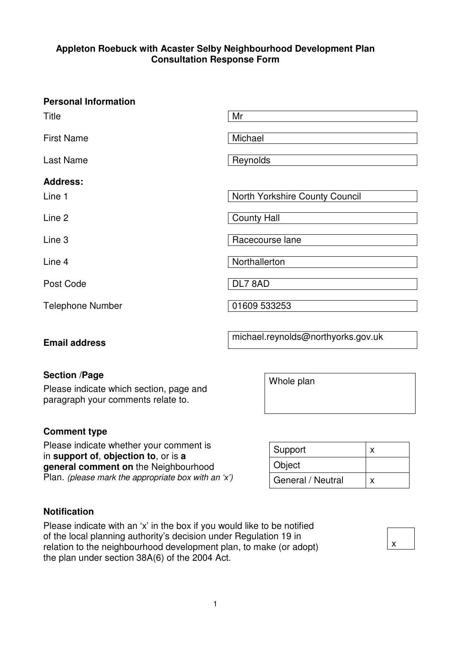# **Appleton Roebuck with Acaster Selby Neighbourhood Development Plan Consultation Response Form**

# **Personal Information**

| <b>Title</b>              | Mr                             |
|---------------------------|--------------------------------|
| <b>First Name</b>         | Michael                        |
| <b>Last Name</b>          | Reynolds                       |
| <b>Address:</b><br>Line 1 | North Yorkshire County Council |
| Line 2                    | <b>County Hall</b>             |
| Line 3                    | Racecourse lane                |
| Line 4                    | Northallerton                  |
| Post Code                 | DL7 8AD                        |
| <b>Telephone Number</b>   | 01609 533253                   |

**Email address Email address michael.reynolds@northyorks.gov.uk** 

Whole plan

# **Section /Page**

Please indicate which section, page and paragraph your comments relate to.

# **Comment type**

Please indicate whether your comment is in **support of**, **objection to**, or is **a general comment on** the Neighbourhood Plan. (please mark the appropriate box with an 'x')

| Support           |  |
|-------------------|--|
| Object            |  |
| General / Neutral |  |

x

# **Notification**

Please indicate with an 'x' in the box if you would like to be notified of the local planning authority's decision under Regulation 19 in relation to the neighbourhood development plan, to make (or adopt) the plan under section 38A(6) of the 2004 Act.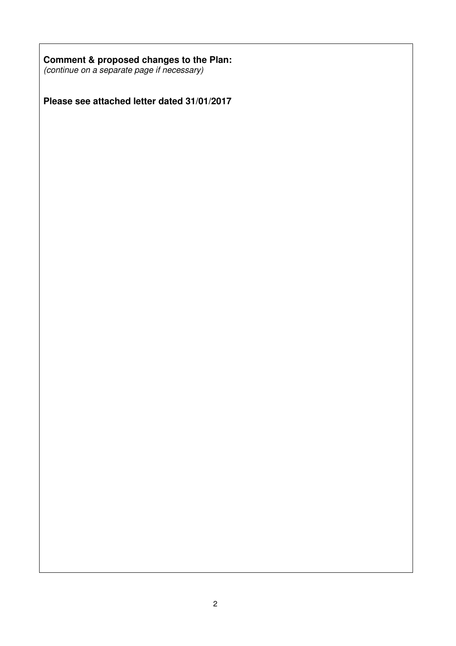# **Comment & proposed changes to the Plan:**

(continue on a separate page if necessary)

**Please see attached letter dated 31/01/2017**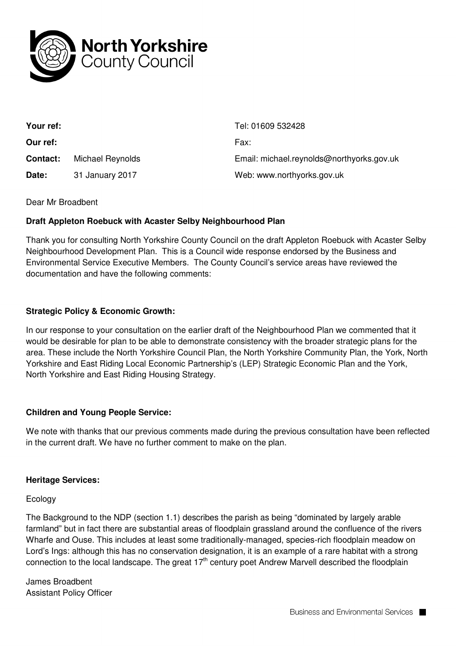

| Your ref:       |                  | Tel: 01609 532428                         |
|-----------------|------------------|-------------------------------------------|
| Our ref:        |                  | Fax:                                      |
| <b>Contact:</b> | Michael Reynolds | Email: michael.reynolds@northyorks.gov.uk |
| Date:           | 31 January 2017  | Web: www.northyorks.gov.uk                |

#### Dear Mr Broadbent

### **Draft Appleton Roebuck with Acaster Selby Neighbourhood Plan**

Thank you for consulting North Yorkshire County Council on the draft Appleton Roebuck with Acaster Selby Neighbourhood Development Plan. This is a Council wide response endorsed by the Business and Environmental Service Executive Members. The County Council's service areas have reviewed the documentation and have the following comments:

### **Strategic Policy & Economic Growth:**

In our response to your consultation on the earlier draft of the Neighbourhood Plan we commented that it would be desirable for plan to be able to demonstrate consistency with the broader strategic plans for the area. These include the North Yorkshire Council Plan, the North Yorkshire Community Plan, the York, North Yorkshire and East Riding Local Economic Partnership's (LEP) Strategic Economic Plan and the York, North Yorkshire and East Riding Housing Strategy.

#### **Children and Young People Service:**

We note with thanks that our previous comments made during the previous consultation have been reflected in the current draft. We have no further comment to make on the plan.

#### **Heritage Services:**

#### Ecology

The Background to the NDP (section 1.1) describes the parish as being "dominated by largely arable farmland" but in fact there are substantial areas of floodplain grassland around the confluence of the rivers Wharfe and Ouse. This includes at least some traditionally-managed, species-rich floodplain meadow on Lord's Ings: although this has no conservation designation, it is an example of a rare habitat with a strong connection to the local landscape. The great  $17<sup>th</sup>$  century poet Andrew Marvell described the floodplain

James Broadbent Assistant Policy Officer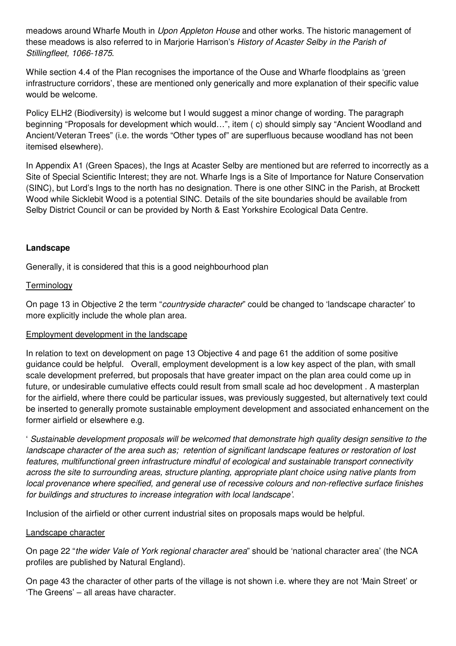meadows around Wharfe Mouth in *Upon Appleton House* and other works. The historic management of these meadows is also referred to in Marjorie Harrison's History of Acaster Selby in the Parish of Stillingfleet, 1066-1875.

While section 4.4 of the Plan recognises the importance of the Ouse and Wharfe floodplains as 'green infrastructure corridors', these are mentioned only generically and more explanation of their specific value would be welcome.

Policy ELH2 (Biodiversity) is welcome but I would suggest a minor change of wording. The paragraph beginning "Proposals for development which would…", item ( c) should simply say "Ancient Woodland and Ancient/Veteran Trees" (i.e. the words "Other types of" are superfluous because woodland has not been itemised elsewhere).

In Appendix A1 (Green Spaces), the Ings at Acaster Selby are mentioned but are referred to incorrectly as a Site of Special Scientific Interest; they are not. Wharfe Ings is a Site of Importance for Nature Conservation (SINC), but Lord's Ings to the north has no designation. There is one other SINC in the Parish, at Brockett Wood while Sicklebit Wood is a potential SINC. Details of the site boundaries should be available from Selby District Council or can be provided by North & East Yorkshire Ecological Data Centre.

# **Landscape**

Generally, it is considered that this is a good neighbourhood plan

# **Terminology**

On page 13 in Objective 2 the term "countryside character" could be changed to 'landscape character' to more explicitly include the whole plan area.

# Employment development in the landscape

In relation to text on development on page 13 Objective 4 and page 61 the addition of some positive guidance could be helpful. Overall, employment development is a low key aspect of the plan, with small scale development preferred, but proposals that have greater impact on the plan area could come up in future, or undesirable cumulative effects could result from small scale ad hoc development . A masterplan for the airfield, where there could be particular issues, was previously suggested, but alternatively text could be inserted to generally promote sustainable employment development and associated enhancement on the former airfield or elsewhere e.g.

' Sustainable development proposals will be welcomed that demonstrate high quality design sensitive to the landscape character of the area such as; retention of significant landscape features or restoration of lost features, multifunctional green infrastructure mindful of ecological and sustainable transport connectivity across the site to surrounding areas, structure planting, appropriate plant choice using native plants from local provenance where specified, and general use of recessive colours and non-reflective surface finishes for buildings and structures to increase integration with local landscape'.

Inclusion of the airfield or other current industrial sites on proposals maps would be helpful.

#### Landscape character

On page 22 "the wider Vale of York regional character area" should be 'national character area' (the NCA profiles are published by Natural England).

On page 43 the character of other parts of the village is not shown i.e. where they are not 'Main Street' or 'The Greens' – all areas have character.